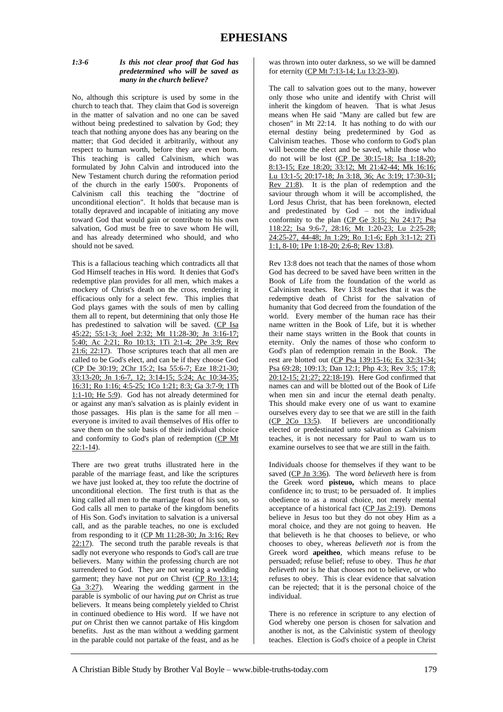#### *1:3-6 Is this not clear proof that God has predetermined who will be saved as many in the church believe?*

No, although this scripture is used by some in the church to teach that. They claim that God is sovereign in the matter of salvation and no one can be saved without being predestined to salvation by God; they teach that nothing anyone does has any bearing on the matter; that God decided it arbitrarily, without any respect to human worth, before they are even born. This teaching is called Calvinism, which was formulated by John Calvin and introduced into the New Testament church during the reformation period of the church in the early 1500's. Proponents of Calvinism call this teaching the "doctrine of unconditional election". It holds that because man is totally depraved and incapable of initiating any move toward God that would gain or contribute to his own salvation, God must be free to save whom He will, and has already determined who should, and who should not be saved.

This is a fallacious teaching which contradicts all that God Himself teaches in His word. It denies that God's redemptive plan provides for all men, which makes a mockery of Christ's death on the cross, rendering it efficacious only for a select few. This implies that God plays games with the souls of men by calling them all to repent, but determining that only those He has predestined to salvation will be saved. (CP Isa 45:22; 55:1-3; Joel 2:32; Mt 11:28-30; Jn 3:16-17; 5:40; Ac 2:21; Ro 10:13; 1Ti 2:1-4; 2Pe 3:9; Rev 21:6; 22:17). Those scriptures teach that all men are called to be God's elect, and can be if they choose God (CP De 30:19; 2Chr 15:2; Isa 55:6-7; Eze 18:21-30; 33:13-20; Jn 1:6-7, 12; 3:14-15; 5:24; Ac 10:34-35; 16:31; Ro 1:16; 4:5-25; 1Co 1:21; 8:3; Ga 3:7-9; 1Th 1:1-10; He 5:9). God has not already determined for or against any man's salvation as is plainly evident in those passages. His plan is the same for all men – everyone is invited to avail themselves of His offer to save them on the sole basis of their individual choice and conformity to God's plan of redemption (CP Mt  $22:1-14$ ).

There are two great truths illustrated here in the parable of the marriage feast, and like the scriptures we have just looked at, they too refute the doctrine of unconditional election. The first truth is that as the king called all men to the marriage feast of his son, so God calls all men to partake of the kingdom benefits of His Son. God's invitation to salvation is a universal call, and as the parable teaches, no one is excluded from responding to it (CP Mt 11:28-30; Jn 3:16; Rev 22:17). The second truth the parable reveals is that sadly not everyone who responds to God's call are true believers. Many within the professing church are not surrendered to God. They are not wearing a wedding garment; they have not *put on* Christ (CP Ro 13:14; Ga 3:27). Wearing the wedding garment in the parable is symbolic of our having *put on* Christ as true believers. It means being completely yielded to Christ in continued obedience to His word. If we have not *put on* Christ then we cannot partake of His kingdom benefits. Just as the man without a wedding garment in the parable could not partake of the feast, and as he

was thrown into outer darkness, so we will be damned for eternity (CP Mt 7:13-14; Lu 13:23-30).

The call to salvation goes out to the many, however only those who unite and identify with Christ will inherit the kingdom of heaven. That is what Jesus means when He said "Many are called but few are chosen" in Mt 22:14. It has nothing to do with our eternal destiny being predetermined by God as Calvinism teaches. Those who conform to God's plan will become the elect and be saved, while those who do not will be lost (CP De 30:15-18; Isa 1:18-20; 8:13-15; Eze 18:20; 33:12; Mt 21:42-44; Mk 16:16; Lu 13:1-5; 20:17-18; Jn 3:18, 36; Ac 3:19; 17:30-31; Rev 21:8). It is the plan of redemption and the saviour through whom it will be accomplished, the Lord Jesus Christ, that has been foreknown, elected and predestinated by God – not the individual conformity to the plan (CP Ge 3:15; Nu 24:17; Psa 118:22; Isa 9:6-7, 28:16; Mt 1:20-23; Lu 2:25-28; 24:25-27, 44-48; Jn 1:29; Ro 1:1-6; Eph 3:1-12; 2Ti 1:1, 8-10; 1Pe 1:18-20; 2:6-8; Rev 13:8).

Rev 13:8 does not teach that the names of those whom God has decreed to be saved have been written in the Book of Life from the foundation of the world as Calvinism teaches. Rev 13:8 teaches that it was the redemptive death of Christ for the salvation of humanity that God decreed from the foundation of the world. Every member of the human race has their name written in the Book of Life, but it is whether their name stays written in the Book that counts in eternity. Only the names of those who conform to God's plan of redemption remain in the Book. The rest are blotted out (CP Psa 139:15-16; Ex 32:31-34; Psa 69:28; 109:13; Dan 12:1; Php 4:3; Rev 3:5; 17:8; 20:12-15; 21:27; 22:18-19). Here God confirmed that names can and will be blotted out of the Book of Life when men sin and incur the eternal death penalty. This should make every one of us want to examine ourselves every day to see that we are still in the faith (CP 2Co 13:5). If believers are unconditionally elected or predestinated unto salvation as Calvinism teaches, it is not necessary for Paul to warn us to examine ourselves to see that we are still in the faith.

Individuals choose for themselves if they want to be saved (CP Jn 3:36). The word *believeth* here is from the Greek word **pisteuo,** which means to place confidence in; to trust; to be persuaded of. It implies obedience to as a moral choice, not merely mental acceptance of a historical fact (CP Jas 2:19). Demons believe in Jesus too but they do not obey Him as a moral choice, and they are not going to heaven. He that believeth is he that chooses to believe, or who chooses to obey, whereas *believeth not* is from the Greek word **apeitheo**, which means refuse to be persuaded; refuse belief; refuse to obey. Thus *he that believeth not* is he that chooses not to believe, or who refuses to obey. This is clear evidence that salvation can be rejected; that it is the personal choice of the individual.

There is no reference in scripture to any election of God whereby one person is chosen for salvation and another is not, as the Calvinistic system of theology teaches. Election is God's choice of a people in Christ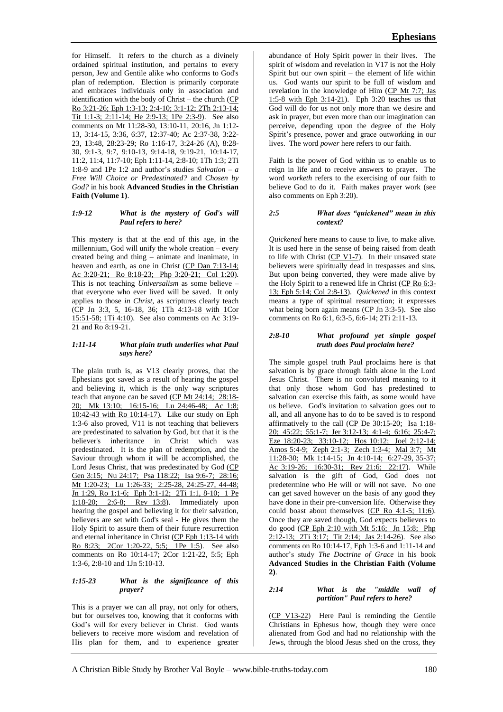for Himself. It refers to the church as a divinely ordained spiritual institution, and pertains to every person, Jew and Gentile alike who conforms to God's plan of redemption. Election is primarily corporate and embraces individuals only in association and identification with the body of Christ – the church (CP Ro 3:21-26; Eph 1:3-13; 2:4-10; 3:1-12; 2Th 2:13-14; Tit 1:1-3; 2:11-14; He 2:9-13; 1Pe 2:3-9). See also comments on Mt 11:28-30, 13:10-11, 20:16, Jn 1:12- 13, 3:14-15, 3:36, 6:37, 12:37-40; Ac 2:37-38, 3:22- 23, 13:48, 28:23-29; Ro 1:16-17, 3:24-26 (A), 8:28- 30, 9:1-3, 9:7, 9:10-13, 9:14-18, 9:19-21, 10:14-17, 11:2, 11:4, 11:7-10; Eph 1:11-14, 2:8-10; 1Th 1:3; 2Ti 1:8-9 and 1Pe 1:2 and author's studies *Salvation – a Free Will Choice or Predestinated?* and *Chosen by God?* in his book **Advanced Studies in the Christian Faith (Volume 1)**.

### *1:9-12 What is the mystery of God's will Paul refers to here?*

This mystery is that at the end of this age, in the millennium, God will unify the whole creation – every created being and thing – animate and inanimate, in heaven and earth, as one in Christ (CP Dan 7:13-14; Ac 3:20-21; Ro 8:18-23; Php 3:20-21; Col 1:20). This is not teaching *Universalism* as some believe – that everyone who ever lived will be saved. It only applies to those *in Christ*, as scriptures clearly teach (CP Jn 3:3, 5, 16-18, 36; 1Th 4:13-18 with 1Cor 15:51-58; 1Ti 4:10). See also comments on Ac 3:19- 21 and Ro 8:19-21.

### *1:11-14 What plain truth underlies what Paul says here?*

The plain truth is, as V13 clearly proves, that the Ephesians got saved as a result of hearing the gospel and believing it, which is the only way scriptures teach that anyone can be saved (CP Mt 24:14; 28:18- 20; Mk 13:10; 16:15-16; Lu 24:46-48; Ac 1:8; 10:42-43 with Ro 10:14-17). Like our study on Eph 1:3-6 also proved, V11 is not teaching that believers are predestinated to salvation by God, but that it is the believer's inheritance in Christ which was predestinated. It is the plan of redemption, and the Saviour through whom it will be accomplished, the Lord Jesus Christ, that was predestinated by God (CP Gen 3:15; Nu 24:17; Psa 118:22; Isa 9:6-7; 28:16; Mt 1:20-23; Lu 1:26-33; 2:25-28, 24:25-27, 44-48; Jn 1:29, Ro 1:1-6; Eph 3:1-12; 2Ti 1:1, 8-10; 1 Pe 1:18-20; 2:6-8; Rev 13:8). Immediately upon hearing the gospel and believing it for their salvation, believers are set with God's seal - He gives them the Holy Spirit to assure them of their future resurrection and eternal inheritance in Christ (CP Eph 1:13-14 with Ro 8:23; 2Cor 1:20-22, 5:5; 1Pe 1:5). See also comments on Ro 10:14-17; 2Cor 1:21-22, 5:5; Eph 1:3-6, 2:8-10 and 1Jn 5:10-13.

## *1:15-23 What is the significance of this prayer?*

This is a prayer we can all pray, not only for others, but for ourselves too, knowing that it conforms with God's will for every believer in Christ. God wants believers to receive more wisdom and revelation of His plan for them, and to experience greater

abundance of Holy Spirit power in their lives. The spirit of wisdom and revelation in V17 is not the Holy Spirit but our own spirit – the element of life within us. God wants our spirit to be full of wisdom and revelation in the knowledge of Him (CP Mt 7:7; Jas 1:5-8 with Eph 3:14-21). Eph 3:20 teaches us that God will do for us not only more than we desire and ask in prayer, but even more than our imagination can perceive, depending upon the degree of the Holy Spirit's presence, power and grace outworking in our lives. The word *power* here refers to our faith.

Faith is the power of God within us to enable us to reign in life and to receive answers to prayer. The word *worketh* refers to the exercising of our faith to believe God to do it. Faith makes prayer work (see also comments on Eph 3:20).

#### *2:5 What does "quickened" mean in this context?*

*Quickened* here means to cause to live, to make alive. It is used here in the sense of being raised from death to life with Christ  $(CP V1-7)$ . In their unsaved state believers were spiritually dead in trespasses and sins. But upon being converted, they were made alive by the Holy Spirit to a renewed life in Christ (CP Ro 6:3- 13; Eph 5:14; Col 2:8-13). *Quickened* in this context means a type of spiritual resurrection; it expresses what being born again means  $(CP \text{ Jn } 3:3-5)$ . See also comments on Ro 6:1, 6:3-5, 6:6-14; 2Ti 2:11-13.

### *2:8-10 What profound yet simple gospel truth does Paul proclaim here?*

The simple gospel truth Paul proclaims here is that salvation is by grace through faith alone in the Lord Jesus Christ. There is no convoluted meaning to it that only those whom God has predestined to salvation can exercise this faith, as some would have us believe. God's invitation to salvation goes out to all, and all anyone has to do to be saved is to respond affirmatively to the call (CP De 30:15-20; Isa 1:18-20; 45:22; 55:1-7; Jer 3:12-13; 4:1-4; 6:16; 25:4-7; Eze 18:20-23; 33:10-12; Hos 10:12; Joel 2:12-14; Amos 5:4-9; Zeph 2:1-3; Zech 1:3-4; Mal 3:7; Mt 11:28-30; Mk 1:14-15; Jn 4:10-14; 6:27-29, 35-37; Ac 3:19-26; 16:30-31; Rev 21:6; 22:17). While salvation is the gift of God, God does not predetermine who He will or will not save. No one can get saved however on the basis of any good they have done in their pre-conversion life. Otherwise they could boast about themselves (CP Ro 4:1-5; 11:6). Once they are saved though, God expects believers to do good (CP Eph 2:10 with Mt 5:16; Jn 15:8; Php 2:12-13; 2Ti 3:17; Tit 2:14; Jas 2:14-26). See also comments on Ro 10:14-17, Eph 1:3-6 and 1:11-14 and author's study *The Doctrine of Grace* in his book **Advanced Studies in the Christian Faith (Volume 2)**.

## *2:14 What is the "middle wall of partition" Paul refers to here?*

(CP V13-22) Here Paul is reminding the Gentile Christians in Ephesus how, though they were once alienated from God and had no relationship with the Jews, through the blood Jesus shed on the cross, they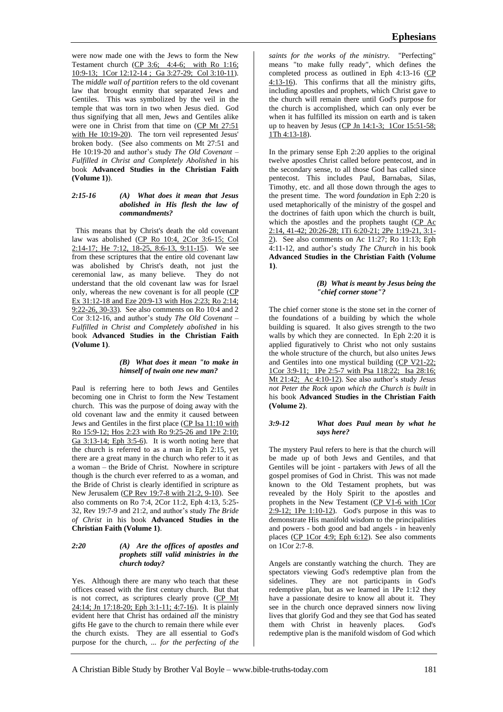were now made one with the Jews to form the New Testament church (CP 3:6; 4:4-6; with Ro 1:16; 10:9-13; 1Cor 12:12-14 ; Ga 3:27-29; Col 3:10-11). The *middle wall of partition* refers to the old covenant law that brought enmity that separated Jews and Gentiles. This was symbolized by the veil in the temple that was torn in two when Jesus died. God thus signifying that all men, Jews and Gentiles alike were one in Christ from that time on (CP Mt 27:51 with He 10:19-20). The torn veil represented Jesus' broken body. (See also comments on Mt 27:51 and He 10:19-20 and author's study *The Old Covenant – Fulfilled in Christ and Completely Abolished* in his book **Advanced Studies in the Christian Faith (Volume 1)**).

#### *2:15-16 (A) What does it mean that Jesus abolished in His flesh the law of commandments?*

This means that by Christ's death the old covenant law was abolished (CP Ro 10:4, 2Cor 3:6-15; Col 2:14-17; He 7:12,  $18-25$ ,  $8:6-13$ ,  $9:11-15$ ). We see from these scriptures that the entire old covenant law was abolished by Christ's death, not just the ceremonial law, as many believe. They do not understand that the old covenant law was for Israel only, whereas the new covenant is for all people (CP Ex 31:12-18 and Eze 20:9-13 with Hos 2:23; Ro 2:14; 9:22-26, 30-33). See also comments on Ro 10:4 and 2 Cor 3:12-16, and author's study *The Old Covenant – Fulfilled in Christ and Completely abolished* in his book **Advanced Studies in the Christian Faith (Volume 1)**.

### *(B) What does it mean "to make in himself of twain one new man?*

Paul is referring here to both Jews and Gentiles becoming one in Christ to form the New Testament church. This was the purpose of doing away with the old covenant law and the enmity it caused between Jews and Gentiles in the first place (CP Isa 11:10 with Ro 15:9-12; Hos 2:23 with Ro 9:25-26 and 1Pe 2:10; Ga 3:13-14; Eph 3:5-6). It is worth noting here that the church is referred to as a man in Eph 2:15, yet there are a great many in the church who refer to it as a woman – the Bride of Christ. Nowhere in scripture though is the church ever referred to as a woman, and the Bride of Christ is clearly identified in scripture as New Jerusalem (CP Rev 19:7-8 with 21:2, 9-10). See also comments on Ro 7:4, 2Cor 11:2, Eph 4:13, 5:25- 32, Rev 19:7-9 and 21:2, and author's study *The Bride of Christ* in his book **Advanced Studies in the Christian Faith (Volume 1)**.

## *2:20 (A) Are the offices of apostles and prophets still valid ministries in the church today?*

Yes. Although there are many who teach that these offices ceased with the first century church. But that is not correct, as scriptures clearly prove (CP Mt 24:14; Jn 17:18-20; Eph 3:1-11; 4:7-16). It is plainly evident here that Christ has ordained *all* the ministry gifts He gave to the church to remain there while ever the church exists. They are all essential to God's purpose for the church, *... for the perfecting of the* 

*saints for the works of the ministry.* "Perfecting" means "to make fully ready", which defines the completed process as outlined in Eph 4:13-16 (CP  $4:13-16$ ). This confirms that all the ministry gifts, including apostles and prophets, which Christ gave to the church will remain there until God's purpose for the church is accomplished, which can only ever be when it has fulfilled its mission on earth and is taken up to heaven by Jesus (CP Jn  $14:1-3$ ; 1Cor  $15:51-58$ ; 1Th 4:13-18).

In the primary sense Eph 2:20 applies to the original twelve apostles Christ called before pentecost, and in the secondary sense, to all those God has called since pentecost. This includes Paul, Barnabas, Silas, Timothy, etc. and all those down through the ages to the present time. The word *foundation* in Eph 2:20 is used metaphorically of the ministry of the gospel and the doctrines of faith upon which the church is built, which the apostles and the prophets taught (CP Ac 2:14, 41-42; 20:26-28; 1Ti 6:20-21; 2Pe 1:19-21, 3:1- 2). See also comments on Ac 11:27; Ro 11:13; Eph 4:11-12, and author's study *The Church* in his book **Advanced Studies in the Christian Faith (Volume 1)**.

#### *(B) What is meant by Jesus being the "chief corner stone"?*

The chief corner stone is the stone set in the corner of the foundations of a building by which the whole building is squared. It also gives strength to the two walls by which they are connected. In Eph 2:20 it is applied figuratively to Christ who not only sustains the whole structure of the church, but also unites Jews and Gentiles into one mystical building (CP V21-22; 1Cor 3:9-11; 1Pe 2:5-7 with Psa 118:22; Isa 28:16; Mt 21:42; Ac 4:10-12). See also author's study *Jesus not Peter the Rock upon which the Church is built* in his book **Advanced Studies in the Christian Faith (Volume 2)**.

### *3:9-12 What does Paul mean by what he says here?*

The mystery Paul refers to here is that the church will be made up of both Jews and Gentiles, and that Gentiles will be joint - partakers with Jews of all the gospel promises of God in Christ. This was not made known to the Old Testament prophets, but was revealed by the Holy Spirit to the apostles and prophets in the New Testament (CP V1-6 with 1Cor  $2:9-12$ ; 1Pe  $1:10-12$ ). God's purpose in this was to demonstrate His manifold wisdom to the principalities and powers - both good and bad angels - in heavenly places (CP 1Cor 4:9; Eph 6:12). See also comments on 1Cor 2:7-8.

Angels are constantly watching the church. They are spectators viewing God's redemptive plan from the sidelines. They are not participants in God's redemptive plan, but as we learned in 1Pe 1:12 they have a passionate desire to know all about it. They see in the church once depraved sinners now living lives that glorify God and they see that God has seated them with Christ in heavenly places. God's redemptive plan is the manifold wisdom of God which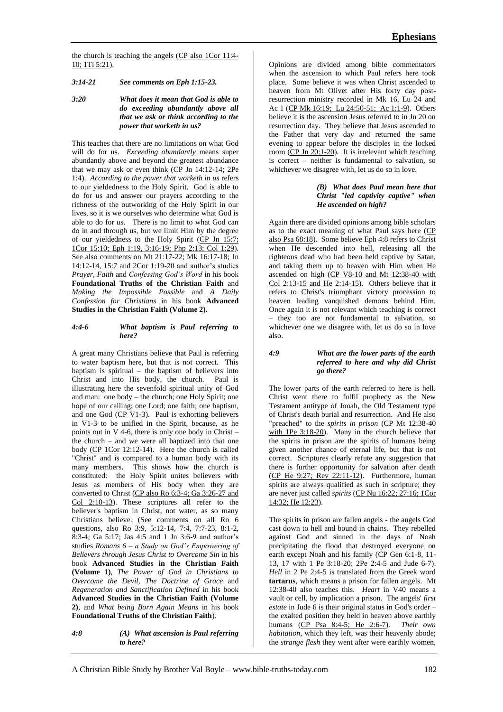the church is teaching the angels (CP also 1Cor 11:4- 10; 1Ti 5:21).

*3:14-21 See comments on Eph 1:15-23.*

*3:20 What does it mean that God is able to do exceeding abundantly above all that we ask or think according to the power that worketh in us?*

This teaches that there are no limitations on what God will do for us. *Exceeding abundantly* means super abundantly above and beyond the greatest abundance that we may ask or even think  $(CP \text{ Jn } 14:12-14; 2Pe)$ 1:4). *According to the power that worketh in us* refers to our yieldedness to the Holy Spirit. God is able to do for us and answer our prayers according to the richness of the outworking of the Holy Spirit in our lives, so it is we ourselves who determine what God is able to do for us. There is no limit to what God can do in and through us, but we limit Him by the degree of our yieldedness to the Holy Spirit (CP Jn 15:7; 1Cor 15:10; Eph 1:19, 3:16-19; Php 2:13; Col 1:29). See also comments on Mt 21:17-22; Mk 16:17-18; Jn 14:12-14, 15:7 and 2Cor 1:19-20 and author's studies *Prayer, Faith* and *Confessing God's Word* in his book **Foundational Truths of the Christian Faith** and *Making the Impossible Possible* and *A Daily Confession for Christians* in his book **Advanced Studies in the Christian Faith (Volume 2).**

#### *4:4-6 What baptism is Paul referring to here?*

A great many Christians believe that Paul is referring to water baptism here, but that is not correct. This baptism is spiritual – the baptism of believers into Christ and into His body, the church. Paul is illustrating here the sevenfold spiritual unity of God and man: one body – the church; one Holy Spirit; one hope of our calling; one Lord; one faith; one baptism, and one God  $(CP V1-3)$ . Paul is exhorting believers in V1-3 to be unified in the Spirit, because, as he points out in V 4-6, there is only one body in Christ – the church – and we were all baptized into that one body (CP 1Cor 12:12-14). Here the church is called "Christ" and is compared to a human body with its many members. This shows how the church is constituted: the Holy Spirit unites believers with Jesus as members of His body when they are converted to Christ (CP also Ro 6:3-4; Ga 3:26-27 and Col 2:10-13). These scriptures all refer to the believer's baptism in Christ, not water, as so many Christians believe. (See comments on all Ro 6 questions, also Ro 3:9, 5:12-14, 7:4, 7:7-23, 8:1-2, 8:3-4; Ga 5:17; Jas 4:5 and 1 Jn 3:6-9 and author's studies *Romans 6 – a Study on God's Empowering of Believers through Jesus Christ to Overcome Sin* in his book **Advanced Studies in the Christian Faith (Volume 1)**, *The Power of God in Christians to Overcome the Devil, The Doctrine of Grace* and *Regeneration and Sanctification Defined* in his book **Advanced Studies in the Christian Faith (Volume 2)**, and *What being Born Again Means* in his book **Foundational Truths of the Christian Faith**).

*4:8 (A) What ascension is Paul referring to here?*

Opinions are divided among bible commentators when the ascension to which Paul refers here took place. Some believe it was when Christ ascended to heaven from Mt Olivet after His forty day postresurrection ministry recorded in Mk 16, Lu 24 and Ac 1 (CP Mk 16:19; Lu 24:50-51; Ac 1:1-9). Others believe it is the ascension Jesus referred to in Jn 20 on resurrection day. They believe that Jesus ascended to the Father that very day and returned the same evening to appear before the disciples in the locked room (CP Jn 20:1-20). It is irrelevant which teaching is correct – neither is fundamental to salvation, so whichever we disagree with, let us do so in love.

## *(B) What does Paul mean here that Christ "led captivity captive" when He ascended on high?*

Again there are divided opinions among bible scholars as to the exact meaning of what Paul says here (CP also Psa 68:18). Some believe Eph 4:8 refers to Christ when He descended into hell, releasing all the righteous dead who had been held captive by Satan, and taking them up to heaven with Him when He ascended on high (CP V8-10 and Mt 12:38-40 with Col  $2:13-15$  and He  $2:14-15$ ). Others believe that it refers to Christ's triumphant victory procession to heaven leading vanquished demons behind Him. Once again it is not relevant which teaching is correct – they too are not fundamental to salvation, so whichever one we disagree with, let us do so in love also.

### *4:9 What are the lower parts of the earth referred to here and why did Christ go there?*

The lower parts of the earth referred to here is hell. Christ went there to fulfil prophecy as the New Testament antitype of Jonah, the Old Testament type of Christ's death burial and resurrection. And He also "preached" to the *spirits in prison* (CP Mt 12:38-40 with 1Pe 3:18-20). Many in the church believe that the spirits in prison are the spirits of humans being given another chance of eternal life, but that is not correct. Scriptures clearly refute any suggestion that there is further opportunity for salvation after death (CP He 9:27; Rev 22:11-12). Furthermore, human spirits are always qualified as such in scripture; they are never just called *spirits* (CP Nu 16:22; 27:16; 1Cor 14:32; He 12:23).

The spirits in prison are fallen angels - the angels God cast down to hell and bound in chains. They rebelled against God and sinned in the days of Noah precipitating the flood that destroyed everyone on earth except Noah and his family (CP Gen 6:1-8, 11-13, 17 with 1 Pe 3:18-20; 2Pe 2:4-5 and Jude 6-7). *Hell* in 2 Pe 2:4-5 is translated from the Greek word **tartarus**, which means a prison for fallen angels. Mt 12:38-40 also teaches this. *Heart* in V40 means a vault or cell, by implication a prison. The angels' *first estate* in Jude 6 is their original status in God's order – the exalted position they held in heaven above earthly humans (CP Psa 8:4-5; He 2:6-7). *Their own habitation*, which they left, was their heavenly abode; the *strange flesh* they went after were earthly women,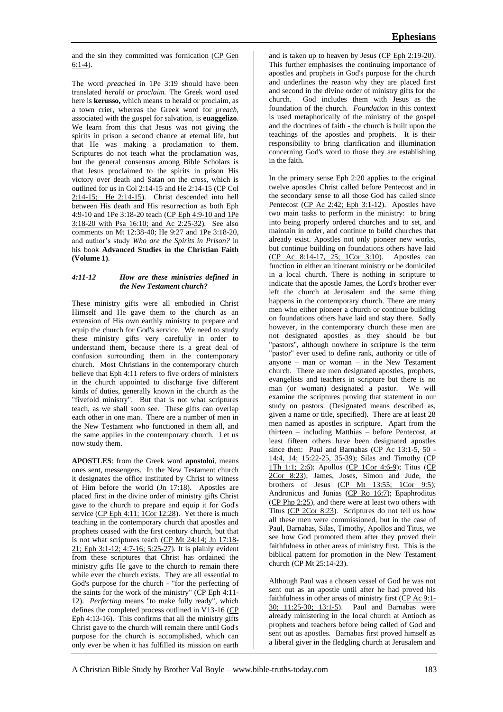and the sin they committed was fornication (CP Gen 6:1-4).

The word *preached* in 1Pe 3:19 should have been translated *herald* or *proclaim.* The Greek word used here is **kerusso,** which means to herald or proclaim, as a town crier, whereas the Greek word for *preach*, associated with the gospel for salvation, is **euaggelizo**. We learn from this that Jesus was not giving the spirits in prison a second chance at eternal life, but that He was making a proclamation to them. Scriptures do not teach what the proclamation was, but the general consensus among Bible Scholars is that Jesus proclaimed to the spirits in prison His victory over death and Satan on the cross, which is outlined for us in Col 2:14-15 and He 2:14-15 (CP Col 2:14-15; He 2:14-15). Christ descended into hell between His death and His resurrection as both Eph 4:9-10 and 1Pe 3:18-20 teach (CP Eph 4:9-10 and 1Pe 3:18-20 with Psa 16:10; and Ac 2:25-32). See also comments on Mt 12:38-40; He 9:27 and 1Pe 3:18-20, and author's study *Who are the Spirits in Prison?* in his book **Advanced Studies in the Christian Faith (Volume 1)**.

## *4:11-12 How are these ministries defined in the New Testament church?*

These ministry gifts were all embodied in Christ Himself and He gave them to the church as an extension of His own earthly ministry to prepare and equip the church for God's service. We need to study these ministry gifts very carefully in order to understand them, because there is a great deal of confusion surrounding them in the contemporary church. Most Christians in the contemporary church believe that Eph 4:11 refers to five orders of ministers in the church appointed to discharge five different kinds of duties, generally known in the church as the "fivefold ministry". But that is not what scriptures teach, as we shall soon see. These gifts can overlap each other in one man. There are a number of men in the New Testament who functioned in them all, and the same applies in the contemporary church. Let us now study them.

**APOSTLES**: from the Greek word **apostoloi**, means ones sent, messengers. In the New Testament church it designates the office instituted by Christ to witness of Him before the world  $(\underline{Jn} 17:18)$ . Apostles are placed first in the divine order of ministry gifts Christ gave to the church to prepare and equip it for God's service (CP Eph 4:11;  $1$ Cor 12:28). Yet there is much teaching in the contemporary church that apostles and prophets ceased with the first century church, but that is not what scriptures teach (CP Mt 24:14; Jn 17:18- 21; Eph 3:1-12; 4:7-16; 5:25-27). It is plainly evident from these scriptures that Christ has ordained the ministry gifts He gave to the church to remain there while ever the church exists. They are all essential to God's purpose for the church - "for the perfecting of the saints for the work of the ministry" (CP Eph 4:11- 12). *Perfecting* means "to make fully ready", which defines the completed process outlined in V13-16 (CP Eph 4:13-16). This confirms that all the ministry gifts Christ gave to the church will remain there until God's purpose for the church is accomplished, which can only ever be when it has fulfilled its mission on earth

and is taken up to heaven by Jesus (CP Eph 2:19-20). This further emphasises the continuing importance of apostles and prophets in God's purpose for the church and underlines the reason why they are placed first and second in the divine order of ministry gifts for the church. God includes them with Jesus as the foundation of the church. *Foundation* in this context is used metaphorically of the ministry of the gospel and the doctrines of faith - the church is built upon the teachings of the apostles and prophets. It is their responsibility to bring clarification and illumination concerning God's word to those they are establishing in the faith.

In the primary sense Eph 2:20 applies to the original twelve apostles Christ called before Pentecost and in the secondary sense to all those God has called since Pentecost (CP Ac 2:42; Eph 3:1-12). Apostles have two main tasks to perform in the ministry: to bring into being properly ordered churches and to set, and maintain in order, and continue to build churches that already exist. Apostles not only pioneer new works, but continue building on foundations others have laid (CP Ac 8:14-17, 25; 1Cor 3:10). Apostles can function in either an itinerant ministry or be domiciled in a local church. There is nothing in scripture to indicate that the apostle James, the Lord's brother ever left the church at Jerusalem and the same thing happens in the contemporary church. There are many men who either pioneer a church or continue building on foundations others have laid and stay there. Sadly however, in the contemporary church these men are not designated apostles as they should be but "pastors", although nowhere in scripture is the term "pastor" ever used to define rank, authority or title of anyone – man or woman – in the New Testament church. There are men designated apostles, prophets, evangelists and teachers in scripture but there is no man (or woman) designated a pastor. We will examine the scriptures proving that statement in our study on pastors. (Designated means described as, given a name or title, specified). There are at least 28 men named as apostles in scripture. Apart from the thirteen – including Matthias – before Pentecost, at least fifteen others have been designated apostles since then: Paul and Barnabas ( $CP$  Ac 13:1-5, 50 -14:4, 14; 15:22-25, 35-39); Silas and Timothy (CP 1Th 1:1; 2:6); Apollos (CP 1Cor 4:6-9); Titus (CP 2Cor 8:23); James, Joses, Simon and Jude, the brothers of Jesus  $(CP \t Mt 13:55; 1Cor 9:5);$ Andronicus and Junias (CP Ro 16:7); Epaphroditus (CP Php 2:25), and there were at least two others with Titus (CP 2Cor 8:23). Scriptures do not tell us how all these men were commissioned, but in the case of Paul, Barnabas, Silas, Timothy, Apollos and Titus, we see how God promoted them after they proved their faithfulness in other areas of ministry first. This is the biblical pattern for promotion in the New Testament church ( $\overline{CP Mt 25:14-23}$ ).

Although Paul was a chosen vessel of God he was not sent out as an apostle until after he had proved his faithfulness in other areas of ministry first (CP Ac 9:1- 30; 11:25-30; 13:1-5). Paul and Barnabas were already ministering in the local church at Antioch as prophets and teachers before being called of God and sent out as apostles. Barnabas first proved himself as a liberal giver in the fledgling church at Jerusalem and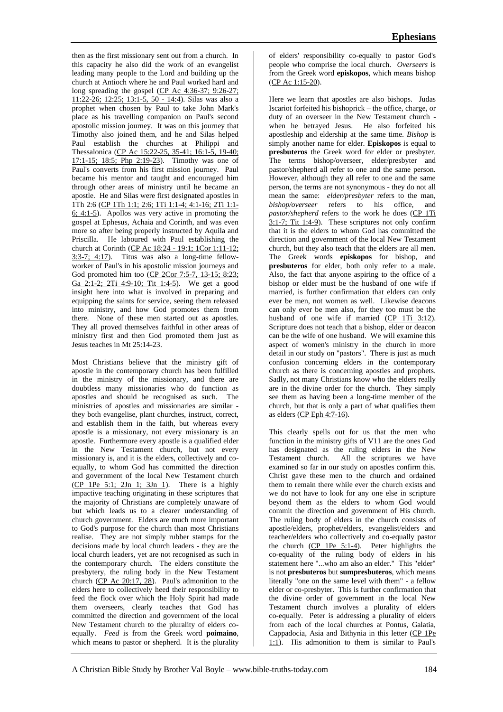then as the first missionary sent out from a church. In this capacity he also did the work of an evangelist leading many people to the Lord and building up the church at Antioch where he and Paul worked hard and long spreading the gospel  $(CP$  Ac 4:36-37; 9:26-27; 11:22-26; 12:25; 13:1-5, 50 - 14:4). Silas was also a prophet when chosen by Paul to take John Mark's place as his travelling companion on Paul's second apostolic mission journey. It was on this journey that Timothy also joined them, and he and Silas helped Paul establish the churches at Philippi and Thessalonica (CP Ac 15:22-25, 35-41; 16:1-5, 19-40; 17:1-15; 18:5; Php 2:19-23). Timothy was one of Paul's converts from his first mission journey. Paul became his mentor and taught and encouraged him through other areas of ministry until he became an apostle. He and Silas were first designated apostles in 1Th 2:6 (CP 1Th 1:1; 2:6; 1Ti 1:1-4; 4:1-16; 2Ti 1:1- 6; 4:1-5). Apollos was very active in promoting the gospel at Ephesus, Achaia and Corinth, and was even more so after being properly instructed by Aquila and Priscilla. He laboured with Paul establishing the church at Corinth (CP Ac 18:24 - 19:1; 1Cor 1:11-12; 3:3-7; 4:17). Titus was also a long-time fellowworker of Paul's in his apostolic mission journeys and God promoted him too (CP 2Cor 7:5-7, 13-15; 8:23; Ga 2:1-2; 2Ti 4:9-10; Tit 1:4-5). We get a good insight here into what is involved in preparing and equipping the saints for service, seeing them released into ministry, and how God promotes them from there. None of these men started out as apostles. They all proved themselves faithful in other areas of ministry first and then God promoted them just as Jesus teaches in Mt 25:14-23.

Most Christians believe that the ministry gift of apostle in the contemporary church has been fulfilled in the ministry of the missionary, and there are doubtless many missionaries who do function as apostles and should be recognised as such. The ministries of apostles and missionaries are similar they both evangelise, plant churches, instruct, correct, and establish them in the faith, but whereas every apostle is a missionary, not every missionary is an apostle. Furthermore every apostle is a qualified elder in the New Testament church, but not every missionary is, and it is the elders, collectively and coequally, to whom God has committed the direction and government of the local New Testament church (CP 1Pe 5:1; 2Jn 1; 3Jn 1). There is a highly impactive teaching originating in these scriptures that the majority of Christians are completely unaware of but which leads us to a clearer understanding of church government. Elders are much more important to God's purpose for the church than most Christians realise. They are not simply rubber stamps for the decisions made by local church leaders - they are the local church leaders, yet are not recognised as such in the contemporary church. The elders constitute the presbytery, the ruling body in the New Testament church (CP Ac 20:17, 28). Paul's admonition to the elders here to collectively heed their responsibility to feed the flock over which the Holy Spirit had made them overseers, clearly teaches that God has committed the direction and government of the local New Testament church to the plurality of elders coequally. *Feed* is from the Greek word **poimaino**, which means to pastor or shepherd. It is the plurality

of elders' responsibility co-equally to pastor God's people who comprise the local church. *Overseers* is from the Greek word **episkopos**, which means bishop (CP Ac 1:15-20).

Here we learn that apostles are also bishops. Judas Iscariot forfeited his bishoprick – the office, charge, or duty of an overseer in the New Testament church when he betrayed Jesus. He also forfeited his apostleship and eldership at the same time. *Bishop* is simply another name for elder. **Episkopos** is equal to **presbuteros** the Greek word for elder or presbyter. The terms bishop/overseer, elder/presbyter and pastor/shepherd all refer to one and the same person. However, although they all refer to one and the same person, the terms are not synonymous - they do not all mean the same: *elder/presbyter* refers to the man,<br>*bishop/overseer* refers to his office, and refers to his office, and pastor/shepherd refers to the work he does (CP 1Ti 3:1-7; Tit 1:4-9). These scriptures not only confirm that it is the elders to whom God has committed the direction and government of the local New Testament church, but they also teach that the elders are all men. The Greek words **episkopos** for bishop, and **presbuteros** for elder, both only refer to a male. Also, the fact that anyone aspiring to the office of a bishop or elder must be the husband of one wife if married, is further confirmation that elders can only ever be men, not women as well. Likewise deacons can only ever be men also, for they too must be the husband of one wife if married (CP 1Ti 3:12). Scripture does not teach that a bishop, elder or deacon can be the wife of one husband. We will examine this aspect of women's ministry in the church in more detail in our study on "pastors". There is just as much confusion concerning elders in the contemporary church as there is concerning apostles and prophets. Sadly, not many Christians know who the elders really are in the divine order for the church. They simply see them as having been a long-time member of the church, but that is only a part of what qualifies them as elders (CP Eph 4:7-16).

This clearly spells out for us that the men who function in the ministry gifts of V11 are the ones God has designated as the ruling elders in the New Testament church. All the scriptures we have examined so far in our study on apostles confirm this. Christ gave these men to the church and ordained them to remain there while ever the church exists and we do not have to look for any one else in scripture beyond them as the elders to whom God would commit the direction and government of His church. The ruling body of elders in the church consists of apostle/elders, prophet/elders, evangelist/elders and teacher/elders who collectively and co-equally pastor the church (CP 1Pe 5:1-4). Peter highlights the co-equality of the ruling body of elders in his statement here "...who am also an elder." This "elder" is not **presbuteros** but **sumpresbuteros**, which means literally "one on the same level with them" - a fellow elder or co-presbyter. This is further confirmation that the divine order of government in the local New Testament church involves a plurality of elders co-equally. Peter is addressing a plurality of elders from each of the local churches at Pontus, Galatia, Cappadocia, Asia and Bithynia in this letter (CP 1Pe 1:1). His admonition to them is similar to Paul's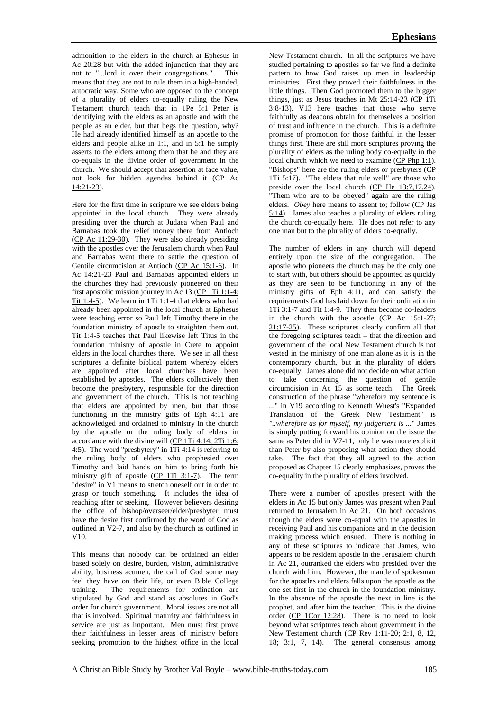admonition to the elders in the church at Ephesus in Ac 20:28 but with the added injunction that they are not to "...lord it over their congregations." means that they are not to rule them in a high-handed, autocratic way. Some who are opposed to the concept of a plurality of elders co-equally ruling the New Testament church teach that in 1Pe 5:1 Peter is identifying with the elders as an apostle and with the people as an elder, but that begs the question, why? He had already identified himself as an apostle to the elders and people alike in 1:1, and in 5:1 he simply asserts to the elders among them that he and they are co-equals in the divine order of government in the church. We should accept that assertion at face value, not look for hidden agendas behind it (CP Ac 14:21-23).

Here for the first time in scripture we see elders being appointed in the local church. They were already presiding over the church at Judaea when Paul and Barnabas took the relief money there from Antioch (CP Ac 11:29-30). They were also already presiding with the apostles over the Jerusalem church when Paul and Barnabas went there to settle the question of Gentile circumcision at Antioch (CP Ac 15:1-6). In Ac 14:21-23 Paul and Barnabas appointed elders in the churches they had previously pioneered on their first apostolic mission journey in Ac 13 (CP 1Ti 1:1-4; Tit 1:4-5). We learn in 1Ti 1:1-4 that elders who had already been appointed in the local church at Ephesus were teaching error so Paul left Timothy there in the foundation ministry of apostle to straighten them out. Tit 1:4-5 teaches that Paul likewise left Titus in the foundation ministry of apostle in Crete to appoint elders in the local churches there. We see in all these scriptures a definite biblical pattern whereby elders are appointed after local churches have been established by apostles. The elders collectively then become the presbytery, responsible for the direction and government of the church. This is not teaching that elders are appointed by men, but that those functioning in the ministry gifts of Eph 4:11 are acknowledged and ordained to ministry in the church by the apostle or the ruling body of elders in accordance with the divine will (CP 1Ti 4:14; 2Ti 1:6; 4:5). The word "presbytery" in 1Ti 4:14 is referring to the ruling body of elders who prophesied over Timothy and laid hands on him to bring forth his ministry gift of apostle  $(CP 1Ti 3:1-7)$ . The term "desire" in V1 means to stretch oneself out in order to grasp or touch something. It includes the idea of reaching after or seeking. However believers desiring the office of bishop/overseer/elder/presbyter must have the desire first confirmed by the word of God as outlined in V2-7, and also by the church as outlined in V10.

This means that nobody can be ordained an elder based solely on desire, burden, vision, administrative ability, business acumen, the call of God some may feel they have on their life, or even Bible College training. The requirements for ordination are stipulated by God and stand as absolutes in God's order for church government. Moral issues are not all that is involved. Spiritual maturity and faithfulness in service are just as important. Men must first prove their faithfulness in lesser areas of ministry before seeking promotion to the highest office in the local

New Testament church. In all the scriptures we have studied pertaining to apostles so far we find a definite pattern to how God raises up men in leadership ministries. First they proved their faithfulness in the little things. Then God promoted them to the bigger things, just as Jesus teaches in Mt 25:14-23 (CP 1Ti 3:8-13). V13 here teaches that those who serve faithfully as deacons obtain for themselves a position of trust and influence in the church. This is a definite promise of promotion for those faithful in the lesser things first. There are still more scriptures proving the plurality of elders as the ruling body co-equally in the local church which we need to examine (CP Php 1:1). "Bishops" here are the ruling elders or presbyters (CP 1Ti 5:17). "The elders that rule well" are those who preside over the local church (CP He 13:7,17,24). "Them who are to be obeyed" again are the ruling elders. *Obey* here means to assent to; follow (CP Jas 5:14). James also teaches a plurality of elders ruling the church co-equally here. He does not refer to any one man but to the plurality of elders co-equally.

The number of elders in any church will depend entirely upon the size of the congregation. The apostle who pioneers the church may be the only one to start with, but others should be appointed as quickly as they are seen to be functioning in any of the ministry gifts of Eph 4:11, and can satisfy the requirements God has laid down for their ordination in 1Ti 3:1-7 and Tit 1:4-9. They then become co-leaders in the church with the apostle (CP Ac 15:1-27; 21:17-25). These scriptures clearly confirm all that the foregoing scriptures teach – that the direction and government of the local New Testament church is not vested in the ministry of one man alone as it is in the contemporary church, but in the plurality of elders co-equally. James alone did not decide on what action to take concerning the question of gentile circumcision in Ac 15 as some teach. The Greek construction of the phrase "wherefore my sentence is ..." in V19 according to Kenneth Wuest's "Expanded Translation of the Greek New Testament" is *"..wherefore as for myself, my judgement is ...*" James is simply putting forward his opinion on the issue the same as Peter did in V7-11, only he was more explicit than Peter by also proposing what action they should take. The fact that they all agreed to the action proposed as Chapter 15 clearly emphasizes, proves the co-equality in the plurality of elders involved.

There were a number of apostles present with the elders in Ac 15 but only James was present when Paul returned to Jerusalem in Ac 21. On both occasions though the elders were co-equal with the apostles in receiving Paul and his companions and in the decision making process which ensued. There is nothing in any of these scriptures to indicate that James, who appears to be resident apostle in the Jerusalem church in Ac 21, outranked the elders who presided over the church with him. However, the mantle of spokesman for the apostles and elders falls upon the apostle as the one set first in the church in the foundation ministry. In the absence of the apostle the next in line is the prophet, and after him the teacher. This is the divine order (CP 1Cor 12:28). There is no need to look beyond what scriptures teach about government in the New Testament church (CP Rev 1:11-20; 2:1, 8, 12,  $18; 3:1, 7, 14$ . The general consensus among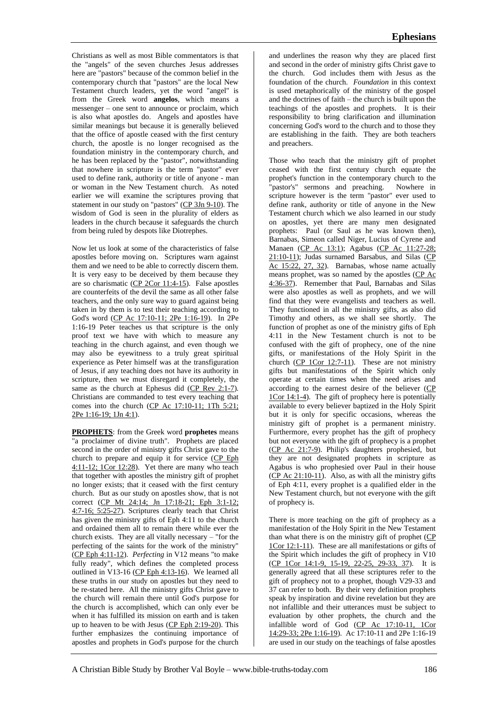Christians as well as most Bible commentators is that the "angels" of the seven churches Jesus addresses here are "pastors" because of the common belief in the contemporary church that "pastors" are the local New Testament church leaders, yet the word "angel" is from the Greek word **angelos**, which means a messenger – one sent to announce or proclaim, which is also what apostles do. Angels and apostles have similar meanings but because it is generally believed that the office of apostle ceased with the first century church, the apostle is no longer recognised as the foundation ministry in the contemporary church, and he has been replaced by the "pastor", notwithstanding that nowhere in scripture is the term "pastor" ever used to define rank, authority or title of anyone - man or woman in the New Testament church. As noted earlier we will examine the scriptures proving that statement in our study on "pastors"  $(CP 3Jn 9-10)$ . The wisdom of God is seen in the plurality of elders as leaders in the church because it safeguards the church from being ruled by despots like Diotrephes.

Now let us look at some of the characteristics of false apostles before moving on. Scriptures warn against them and we need to be able to correctly discern them. It is very easy to be deceived by them because they are so charismatic (CP 2Cor 11:4-15). False apostles are counterfeits of the devil the same as all other false teachers, and the only sure way to guard against being taken in by them is to test their teaching according to God's word (CP Ac 17:10-11; 2Pe 1:16-19). In 2Pe 1:16-19 Peter teaches us that scripture is the only proof text we have with which to measure any teaching in the church against, and even though we may also be eyewitness to a truly great spiritual experience as Peter himself was at the transfiguration of Jesus, if any teaching does not have its authority in scripture, then we must disregard it completely, the same as the church at Ephesus did (CP Rev 2:1-7). Christians are commanded to test every teaching that comes into the church (CP Ac 17:10-11; 1Th 5:21; 2Pe 1:16-19; 1Jn 4:1).

**PROPHETS**: from the Greek word **prophetes** means "a proclaimer of divine truth". Prophets are placed second in the order of ministry gifts Christ gave to the church to prepare and equip it for service (CP Eph 4:11-12; 1Cor 12:28). Yet there are many who teach that together with apostles the ministry gift of prophet no longer exists; that it ceased with the first century church. But as our study on apostles show, that is not correct (CP Mt 24:14; Jn 17:18-21; Eph 3:1-12; 4:7-16; 5:25-27). Scriptures clearly teach that Christ has given the ministry gifts of Eph 4:11 to the church and ordained them all to remain there while ever the church exists. They are all vitally necessary – "for the perfecting of the saints for the work of the ministry" (CP Eph 4:11-12). *Perfecting* in V12 means "to make fully ready", which defines the completed process outlined in V13-16 (CP Eph 4:13-16). We learned all these truths in our study on apostles but they need to be re-stated here. All the ministry gifts Christ gave to the church will remain there until God's purpose for the church is accomplished, which can only ever be when it has fulfilled its mission on earth and is taken up to heaven to be with Jesus (CP Eph 2:19-20). This further emphasizes the continuing importance of apostles and prophets in God's purpose for the church

and underlines the reason why they are placed first and second in the order of ministry gifts Christ gave to the church. God includes them with Jesus as the foundation of the church. *Foundation* in this context is used metaphorically of the ministry of the gospel and the doctrines of faith – the church is built upon the teachings of the apostles and prophets. It is their responsibility to bring clarification and illumination concerning God's word to the church and to those they are establishing in the faith. They are both teachers and preachers.

Those who teach that the ministry gift of prophet ceased with the first century church equate the prophet's function in the contemporary church to the "pastor's" sermons and preaching. Nowhere in scripture however is the term "pastor" ever used to define rank, authority or title of anyone in the New Testament church which we also learned in our study on apostles, yet there are many men designated prophets: Paul (or Saul as he was known then), Barnabas, Simeon called Niger, Lucius of Cyrene and Manaen (CP Ac 13:1); Agabus (CP Ac 11:27-28; 21:10-11); Judas surnamed Barsabus, and Silas (CP Ac 15:22, 27, 32). Barnabas, whose name actually means prophet, was so named by the apostles (CP Ac 4:36-37). Remember that Paul, Barnabas and Silas were also apostles as well as prophets, and we will find that they were evangelists and teachers as well. They functioned in all the ministry gifts, as also did Timothy and others, as we shall see shortly. The function of prophet as one of the ministry gifts of Eph 4:11 in the New Testament church is not to be confused with the gift of prophecy, one of the nine gifts, or manifestations of the Holy Spirit in the church  $(CP 1Cor 12:7-11)$ . These are not ministry gifts but manifestations of the Spirit which only operate at certain times when the need arises and according to the earnest desire of the believer (CP 1Cor 14:1-4). The gift of prophecy here is potentially available to every believer baptized in the Holy Spirit but it is only for specific occasions, whereas the ministry gift of prophet is a permanent ministry. Furthermore, every prophet has the gift of prophecy but not everyone with the gift of prophecy is a prophet (CP Ac 21:7-9). Philip's daughters prophesied, but they are not designated prophets in scripture as Agabus is who prophesied over Paul in their house (CP Ac 21:10-11). Also, as with all the ministry gifts of Eph 4:11, every prophet is a qualified elder in the New Testament church, but not everyone with the gift of prophecy is.

There is more teaching on the gift of prophecy as a manifestation of the Holy Spirit in the New Testament than what there is on the ministry gift of prophet  $(CP)$ 1Cor 12:1-11). These are all manifestations or gifts of the Spirit which includes the gift of prophecy in V10 (CP 1Cor 14:1-9, 15-19, 22-25, 29-33, 37). It is generally agreed that all these scriptures refer to the gift of prophecy not to a prophet, though V29-33 and 37 can refer to both. By their very definition prophets speak by inspiration and divine revelation but they are not infallible and their utterances must be subject to evaluation by other prophets, the church and the infallible word of God (CP Ac 17:10-11, 1Cor 14:29-33; 2Pe 1:16-19). Ac 17:10-11 and 2Pe 1:16-19 are used in our study on the teachings of false apostles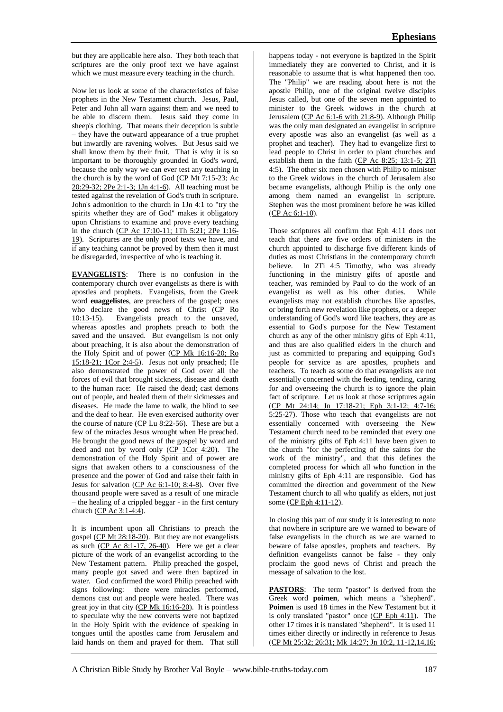but they are applicable here also. They both teach that scriptures are the only proof text we have against which we must measure every teaching in the church.

Now let us look at some of the characteristics of false prophets in the New Testament church. Jesus, Paul, Peter and John all warn against them and we need to be able to discern them. Jesus said they come in sheep's clothing. That means their deception is subtle – they have the outward appearance of a true prophet but inwardly are ravening wolves. But Jesus said we shall know them by their fruit. That is why it is so important to be thoroughly grounded in God's word, because the only way we can ever test any teaching in the church is by the word of God (CP Mt 7:15-23; Ac 20:29-32; 2Pe 2:1-3; 1Jn 4:1-6). All teaching must be tested against the revelation of God's truth in scripture. John's admonition to the church in 1Jn 4:1 to "try the spirits whether they are of God" makes it obligatory upon Christians to examine and prove every teaching in the church (CP Ac 17:10-11; 1Th 5:21; 2Pe 1:16- 19). Scriptures are the only proof texts we have, and if any teaching cannot be proved by them then it must be disregarded, irrespective of who is teaching it.

**EVANGELISTS**: There is no confusion in the contemporary church over evangelists as there is with apostles and prophets. Evangelists, from the Greek word **euaggelistes**, are preachers of the gospel; ones who declare the good news of Christ  $\begin{array}{c} \text{(CP } \text{Ro} \\ \text{10:13-15)} \end{array}$  Evangelists preach to the unsaved, Evangelists preach to the unsaved, whereas apostles and prophets preach to both the saved and the unsaved. But evangelism is not only about preaching, it is also about the demonstration of the Holy Spirit and of power (CP Mk 16:16-20; Ro 15:18-21; 1Cor 2:4-5). Jesus not only preached; He also demonstrated the power of God over all the forces of evil that brought sickness, disease and death to the human race: He raised the dead; cast demons out of people, and healed them of their sicknesses and diseases. He made the lame to walk, the blind to see and the deaf to hear. He even exercised authority over the course of nature (CP Lu 8:22-56). These are but a few of the miracles Jesus wrought when He preached. He brought the good news of the gospel by word and deed and not by word only (CP 1Cor 4:20). The demonstration of the Holy Spirit and of power are signs that awaken others to a consciousness of the presence and the power of God and raise their faith in Jesus for salvation  $(CP \text{ Ac } 6:1-10; 8:4-8)$ . Over five thousand people were saved as a result of one miracle – the healing of a crippled beggar - in the first century church (CP Ac 3:1-4:4).

It is incumbent upon all Christians to preach the gospel (CP Mt 28:18-20). But they are not evangelists as such  $(CP \text{ Ac } 8:1-17, 26-40)$ . Here we get a clear picture of the work of an evangelist according to the New Testament pattern. Philip preached the gospel, many people got saved and were then baptized in water. God confirmed the word Philip preached with signs following: there were miracles performed, demons cast out and people were healed. There was great joy in that city  $\overline{CP}$  Mk 16:16-20). It is pointless to speculate why the new converts were not baptized in the Holy Spirit with the evidence of speaking in tongues until the apostles came from Jerusalem and laid hands on them and prayed for them. That still

happens today - not everyone is baptized in the Spirit immediately they are converted to Christ, and it is reasonable to assume that is what happened then too. The "Philip" we are reading about here is not the apostle Philip, one of the original twelve disciples Jesus called, but one of the seven men appointed to minister to the Greek widows in the church at Jerusalem (CP Ac 6:1-6 with 21:8-9). Although Philip was the only man designated an evangelist in scripture every apostle was also an evangelist (as well as a prophet and teacher). They had to evangelize first to lead people to Christ in order to plant churches and establish them in the faith (CP Ac 8:25; 13:1-5; 2Ti 4:5). The other six men chosen with Philip to minister to the Greek widows in the church of Jerusalem also became evangelists, although Philip is the only one among them named an evangelist in scripture. Stephen was the most prominent before he was killed (CP Ac 6:1-10).

Those scriptures all confirm that Eph 4:11 does not teach that there are five orders of ministers in the church appointed to discharge five different kinds of duties as most Christians in the contemporary church believe. In 2Ti 4:5 Timothy, who was already functioning in the ministry gifts of apostle and teacher, was reminded by Paul to do the work of an evangelist as well as his other duties. While evangelists may not establish churches like apostles, or bring forth new revelation like prophets, or a deeper understanding of God's word like teachers, they are as essential to God's purpose for the New Testament church as any of the other ministry gifts of Eph 4:11, and thus are also qualified elders in the church and just as committed to preparing and equipping God's people for service as are apostles, prophets and teachers. To teach as some do that evangelists are not essentially concerned with the feeding, tending, caring for and overseeing the church is to ignore the plain fact of scripture. Let us look at those scriptures again (CP Mt 24:14; Jn 17:18-21; Eph 3:1-12; 4:7-16; 5:25-27). Those who teach that evangelists are not essentially concerned with overseeing the New Testament church need to be reminded that every one of the ministry gifts of Eph 4:11 have been given to the church "for the perfecting of the saints for the work of the ministry", and that this defines the completed process for which all who function in the ministry gifts of Eph 4:11 are responsible. God has committed the direction and government of the New Testament church to all who qualify as elders, not just some (CP Eph 4:11-12).

In closing this part of our study it is interesting to note that nowhere in scripture are we warned to beware of false evangelists in the church as we are warned to beware of false apostles, prophets and teachers. By definition evangelists cannot be false - they only proclaim the good news of Christ and preach the message of salvation to the lost.

PASTORS: The term "pastor" is derived from the Greek word **poimen**, which means a "shepherd". **Poimen** is used 18 times in the New Testament but it is only translated "pastor" once  $(CP$  Eph 4:11). The other 17 times it is translated "shepherd". It is used 11 times either directly or indirectly in reference to Jesus (CP Mt 25:32; 26:31; Mk 14:27; Jn 10:2, 11-12,14,16;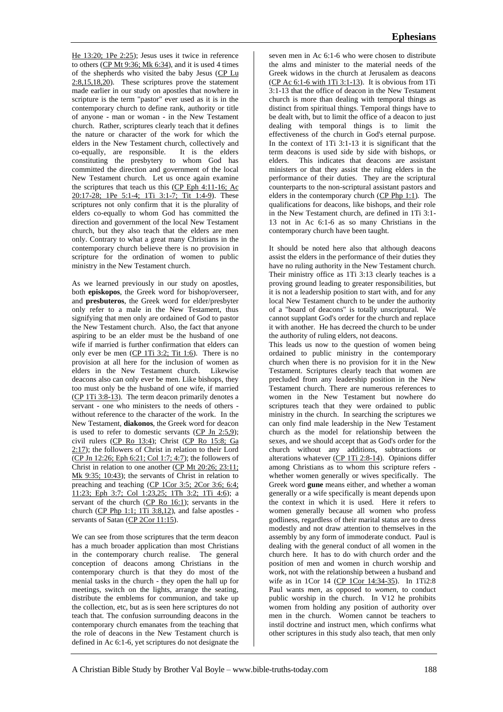He 13:20; 1Pe 2:25); Jesus uses it twice in reference to others (CP Mt 9:36; Mk 6:34), and it is used 4 times of the shepherds who visited the baby Jesus (CP Lu  $2:8,15,18,20$ . These scriptures prove the statement made earlier in our study on apostles that nowhere in scripture is the term "pastor" ever used as it is in the contemporary church to define rank, authority or title of anyone - man or woman - in the New Testament church. Rather, scriptures clearly teach that it defines the nature or character of the work for which the elders in the New Testament church, collectively and co-equally, are responsible. It is the elders co-equally, are responsible. constituting the presbytery to whom God has committed the direction and government of the local New Testament church. Let us once again examine the scriptures that teach us this (CP Eph 4:11-16; Ac 20:17-28; 1Pe 5:1-4; 1Ti 3:1-7; Tit 1:4-9). These scriptures not only confirm that it is the plurality of elders co-equally to whom God has committed the direction and government of the local New Testament church, but they also teach that the elders are men only. Contrary to what a great many Christians in the contemporary church believe there is no provision in scripture for the ordination of women to public ministry in the New Testament church.

As we learned previously in our study on apostles, both **episkopos**, the Greek word for bishop/overseer, and **presbuteros**, the Greek word for elder/presbyter only refer to a male in the New Testament, thus signifying that men only are ordained of God to pastor the New Testament church. Also, the fact that anyone aspiring to be an elder must be the husband of one wife if married is further confirmation that elders can only ever be men  $(CP 1Ti 3:2; Tit 1:6)$ . There is no provision at all here for the inclusion of women as elders in the New Testament church. Likewise deacons also can only ever be men. Like bishops, they too must only be the husband of one wife, if married (CP 1Ti 3:8-13). The term deacon primarily denotes a servant - one who ministers to the needs of others without reference to the character of the work. In the New Testament, **diakonos**, the Greek word for deacon is used to refer to domestic servants (CP Jn 2:5,9); civil rulers (CP Ro 13:4); Christ (CP Ro 15:8; Ga 2:17); the followers of Christ in relation to their Lord (CP Jn 12:26; Eph 6:21; Col 1:7; 4:7); the followers of Christ in relation to one another (CP Mt 20:26; 23:11; Mk 9:35; 10:43); the servants of Christ in relation to preaching and teaching (CP 1Cor 3:5; 2Cor 3:6; 6:4; 11:23; Eph 3:7; Col 1:23,25; 1Th 3:2; 1Ti 4:6); a servant of the church (CP Ro 16:1); servants in the church (CP Php 1:1; 1Ti 3:8,12), and false apostles servants of Satan (CP 2Cor 11:15).

We can see from those scriptures that the term deacon has a much broader application than most Christians in the contemporary church realise. The general conception of deacons among Christians in the contemporary church is that they do most of the menial tasks in the church - they open the hall up for meetings, switch on the lights, arrange the seating, distribute the emblems for communion, and take up the collection, etc, but as is seen here scriptures do not teach that. The confusion surrounding deacons in the contemporary church emanates from the teaching that the role of deacons in the New Testament church is defined in Ac 6:1-6, yet scriptures do not designate the

seven men in Ac 6:1-6 who were chosen to distribute the alms and minister to the material needs of the Greek widows in the church at Jerusalem as deacons (CP Ac 6:1-6 with 1Ti 3:1-13). It is obvious from 1Ti 3:1-13 that the office of deacon in the New Testament church is more than dealing with temporal things as distinct from spiritual things. Temporal things have to be dealt with, but to limit the office of a deacon to just dealing with temporal things is to limit the effectiveness of the church in God's eternal purpose. In the context of 1Ti 3:1-13 it is significant that the term deacons is used side by side with bishops, or elders. This indicates that deacons are assistant ministers or that they assist the ruling elders in the performance of their duties. They are the scriptural counterparts to the non-scriptural assistant pastors and elders in the contemporary church (CP Php 1:1). The qualifications for deacons, like bishops, and their role in the New Testament church, are defined in 1Ti 3:1- 13 not in Ac 6:1-6 as so many Christians in the contemporary church have been taught.

It should be noted here also that although deacons assist the elders in the performance of their duties they have no ruling authority in the New Testament church. Their ministry office as 1Ti 3:13 clearly teaches is a proving ground leading to greater responsibilities, but it is not a leadership position to start with, and for any local New Testament church to be under the authority of a "board of deacons" is totally unscriptural. We cannot supplant God's order for the church and replace it with another. He has decreed the church to be under the authority of ruling elders, not deacons.

This leads us now to the question of women being ordained to public ministry in the contemporary church when there is no provision for it in the New Testament. Scriptures clearly teach that women are precluded from any leadership position in the New Testament church. There are numerous references to women in the New Testament but nowhere do scriptures teach that they were ordained to public ministry in the church. In searching the scriptures we can only find male leadership in the New Testament church as the model for relationship between the sexes, and we should accept that as God's order for the church without any additions, subtractions or alterations whatever  $(CP 1Ti 2:8-14)$ . Opinions differ among Christians as to whom this scripture refers whether women generally or wives specifically. The Greek word **gune** means either, and whether a woman generally or a wife specifically is meant depends upon the context in which it is used. Here it refers to women generally because all women who profess godliness, regardless of their marital status are to dress modestly and not draw attention to themselves in the assembly by any form of immoderate conduct. Paul is dealing with the general conduct of all women in the church here. It has to do with church order and the position of men and women in church worship and work, not with the relationship between a husband and wife as in 1Cor 14 (CP 1Cor 14:34-35). In 1Ti2:8 Paul wants *men*, as opposed to *women*, to conduct public worship in the church. In V12 he prohibits women from holding any position of authority over men in the church. Women cannot be teachers to instil doctrine and instruct men, which confirms what other scriptures in this study also teach, that men only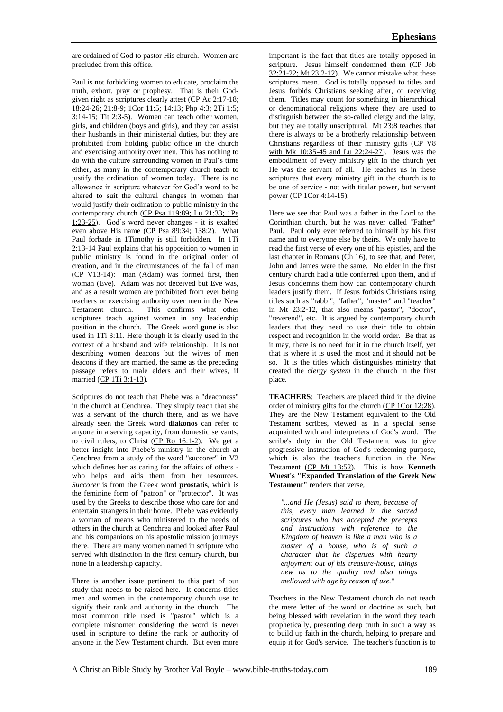are ordained of God to pastor His church. Women are precluded from this office.

Paul is not forbidding women to educate, proclaim the truth, exhort, pray or prophesy. That is their Godgiven right as scriptures clearly attest (CP Ac 2:17-18; 18:24-26; 21:8-9; 1Cor 11:5; 14:13; Php 4:3; 2Ti 1:5; 3:14-15; Tit 2:3-5). Women can teach other women, girls, and children (boys and girls), and they can assist their husbands in their ministerial duties, but they are prohibited from holding public office in the church and exercising authority over men. This has nothing to do with the culture surrounding women in Paul's time either, as many in the contemporary church teach to justify the ordination of women today. There is no allowance in scripture whatever for God's word to be altered to suit the cultural changes in women that would justify their ordination to public ministry in the contemporary church (CP Psa 119:89; Lu 21:33; 1Pe 1:23-2 $\overline{5}$ ). God's word never changes - it is exalted even above His name (CP Psa 89:34; 138:2). What Paul forbade in 1Timothy is still forbidden. In 1Ti 2:13-14 Paul explains that his opposition to women in public ministry is found in the original order of creation, and in the circumstances of the fall of man (CP V13-14): man (Adam) was formed first, then woman (Eve). Adam was not deceived but Eve was, and as a result women are prohibited from ever being teachers or exercising authority over men in the New<br>Testament church. This confirms what other This confirms what other scriptures teach against women in any leadership position in the church. The Greek word **gune** is also used in 1Ti 3:11. Here though it is clearly used in the context of a husband and wife relationship. It is not describing women deacons but the wives of men deacons if they are married, the same as the preceding passage refers to male elders and their wives, if married (CP 1Ti 3:1-13).

Scriptures do not teach that Phebe was a "deaconess" in the church at Cenchrea. They simply teach that she was a servant of the church there, and as we have already seen the Greek word **diakonos** can refer to anyone in a serving capacity, from domestic servants, to civil rulers, to Christ (CP Ro 16:1-2). We get a better insight into Phebe's ministry in the church at Cenchrea from a study of the word "succorer" in V2 which defines her as caring for the affairs of others who helps and aids them from her resources. *Succorer* is from the Greek word **prostatis**, which is the feminine form of "patron" or "protector". It was used by the Greeks to describe those who care for and entertain strangers in their home. Phebe was evidently a woman of means who ministered to the needs of others in the church at Cenchrea and looked after Paul and his companions on his apostolic mission journeys there. There are many women named in scripture who served with distinction in the first century church, but none in a leadership capacity.

There is another issue pertinent to this part of our study that needs to be raised here. It concerns titles men and women in the contemporary church use to signify their rank and authority in the church. The most common title used is "pastor" which is a complete misnomer considering the word is never used in scripture to define the rank or authority of anyone in the New Testament church. But even more

important is the fact that titles are totally opposed in scripture. Jesus himself condemned them (CP Job 32:21-22; Mt 23:2-12). We cannot mistake what these scriptures mean. God is totally opposed to titles and Jesus forbids Christians seeking after, or receiving them. Titles may count for something in hierarchical or denominational religions where they are used to distinguish between the so-called clergy and the laity, but they are totally unscriptural. Mt 23:8 teaches that there is always to be a brotherly relationship between Christians regardless of their ministry gifts (CP V8 with Mk 10:35-45 and Lu 22:24-27). Jesus was the embodiment of every ministry gift in the church yet He was the servant of all. He teaches us in these scriptures that every ministry gift in the church is to be one of service - not with titular power, but servant power (CP 1Cor 4:14-15).

Here we see that Paul was a father in the Lord to the Corinthian church, but he was never called "Father" Paul. Paul only ever referred to himself by his first name and to everyone else by theirs. We only have to read the first verse of every one of his epistles, and the last chapter in Romans (Ch 16), to see that, and Peter, John and James were the same. No elder in the first century church had a title conferred upon them, and if Jesus condemns them how can contemporary church leaders justify them. If Jesus forbids Christians using titles such as "rabbi", "father", "master" and "teacher" in Mt 23:2-12, that also means "pastor", "doctor", "reverend", etc. It is argued by contemporary church leaders that they need to use their title to obtain respect and recognition in the world order. Be that as it may, there is no need for it in the church itself, yet that is where it is used the most and it should not be so. It is the titles which distinguishes ministry that created the *clergy system* in the church in the first place.

**TEACHERS**: Teachers are placed third in the divine order of ministry gifts for the church (CP 1Cor 12:28). They are the New Testament equivalent to the Old Testament scribes, viewed as in a special sense acquainted with and interpreters of God's word. The scribe's duty in the Old Testament was to give progressive instruction of God's redeeming purpose, which is also the teacher's function in the New Testament (CP Mt 13:52). This is how **Kenneth Wuest's "Expanded Translation of the Greek New Testament"** renders that verse,

*"...and He (Jesus) said to them, because of this, every man learned in the sacred scriptures who has accepted the precepts and instructions with reference to the Kingdom of heaven is like a man who is a master of a house, who is of such a character that he dispenses with hearty enjoyment out of his treasure-house, things new as to the quality and also things mellowed with age by reason of use."*

Teachers in the New Testament church do not teach the mere letter of the word or doctrine as such, but being blessed with revelation in the word they teach prophetically, presenting deep truth in such a way as to build up faith in the church, helping to prepare and equip it for God's service. The teacher's function is to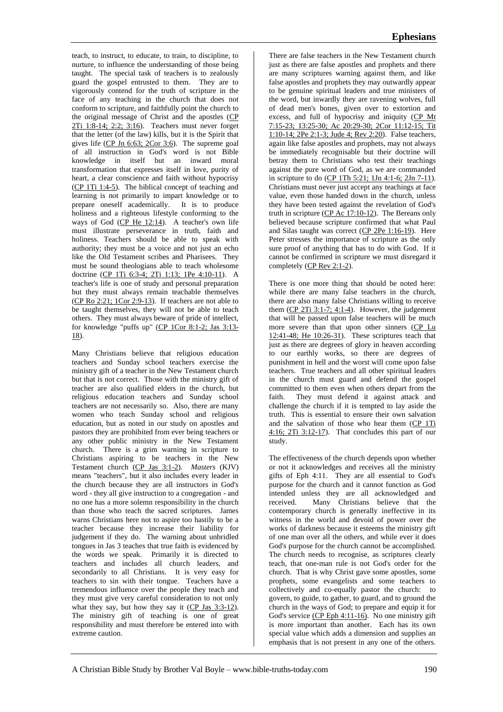teach, to instruct, to educate, to train, to discipline, to nurture, to influence the understanding of those being taught. The special task of teachers is to zealously guard the gospel entrusted to them. They are to vigorously contend for the truth of scripture in the face of any teaching in the church that does not conform to scripture, and faithfully point the church to the original message of Christ and the apostles (CP 2Ti 1:8-14; 2:2; 3:16). Teachers must never forget that the letter (of the law) kills, but it is the Spirit that gives life (CP Jn 6:63; 2Cor 3:6). The supreme goal of all instruction in God's word is not Bible knowledge in itself but an inward moral transformation that expresses itself in love, purity of heart, a clear conscience and faith without hypocrisy (CP 1Ti 1:4-5). The biblical concept of teaching and learning is not primarily to impart knowledge or to prepare oneself academically. It is to produce holiness and a righteous lifestyle conforming to the ways of God  $(\overrightarrow{CP}$  He 12:14). A teacher's own life must illustrate perseverance in truth, faith and holiness. Teachers should be able to speak with authority; they must be a voice and not just an echo like the Old Testament scribes and Pharisees. They must be sound theologians able to teach wholesome doctrine (CP 1Ti 6:3-4; 2Ti 1:13; 1Pe 4:10-11). A teacher's life is one of study and personal preparation but they must always remain teachable themselves (CP Ro 2:21; 1Cor 2:9-13). If teachers are not able to be taught themselves, they will not be able to teach others. They must always beware of pride of intellect, for knowledge "puffs up" (CP 1Cor 8:1-2; Jas 3:13- 18).

Many Christians believe that religious education teachers and Sunday school teachers exercise the ministry gift of a teacher in the New Testament church but that is not correct. Those with the ministry gift of teacher are also qualified elders in the church, but religious education teachers and Sunday school teachers are not necessarily so. Also, there are many women who teach Sunday school and religious education, but as noted in our study on apostles and pastors they are prohibited from ever being teachers or any other public ministry in the New Testament church. There is a grim warning in scripture to Christians aspiring to be teachers in the New Testament church (CP Jas 3:1-2). *Masters* (KJV) means "teachers", but it also includes every leader in the church because they are all instructors in God's word - they all give instruction to a congregation - and no one has a more solemn responsibility in the church than those who teach the sacred scriptures. James warns Christians here not to aspire too hastily to be a teacher because they increase their liability for judgement if they do. The warning about unbridled tongues in Jas 3 teaches that true faith is evidenced by the words we speak. Primarily it is directed to teachers and includes all church leaders, and secondarily to all Christians. It is very easy for teachers to sin with their tongue. Teachers have a tremendous influence over the people they teach and they must give very careful consideration to not only what they say, but how they say it  $(CP$  Jas  $3:3-12$ . The ministry gift of teaching is one of great responsibility and must therefore be entered into with extreme caution.

There are false teachers in the New Testament church just as there are false apostles and prophets and there are many scriptures warning against them, and like false apostles and prophets they may outwardly appear to be genuine spiritual leaders and true ministers of the word, but inwardly they are ravening wolves, full of dead men's bones, given over to extortion and excess, and full of hypocrisy and iniquity (CP Mt 7:15-23; 13:25-30; Ac 20:29-30; 2Cor 11:12-15; Tit 1:10-14; 2Pe 2:1-3; Jude 4; Rev 2:20). False teachers, again like false apostles and prophets, may not always be immediately recognisable but their doctrine will betray them to Christians who test their teachings against the pure word of God, as we are commanded in scripture to do (CP 1Th 5:21; 1Jn 4:1-6; 2Jn 7-11). Christians must never just accept any teachings at face value, even those handed down in the church, unless they have been tested against the revelation of God's truth in scripture (CP Ac 17:10-12). The Bereans only believed because scripture confirmed that what Paul and Silas taught was correct (CP 2Pe 1:16-19). Here Peter stresses the importance of scripture as the only sure proof of anything that has to do with God. If it cannot be confirmed in scripture we must disregard it completely (CP Rev 2:1-2).

There is one more thing that should be noted here: while there are many false teachers in the church, there are also many false Christians willing to receive them  $(CP 2Ti 3:1-7; 4:1-4)$ . However, the judgement that will be passed upon false teachers will be much more severe than that upon other sinners (CP Lu 12:41-48; He 10:26-31). These scriptures teach that just as there are degrees of glory in heaven according to our earthly works, so there are degrees of punishment in hell and the worst will come upon false teachers. True teachers and all other spiritual leaders in the church must guard and defend the gospel committed to them even when others depart from the faith. They must defend it against attack and challenge the church if it is tempted to lay aside the truth. This is essential to ensure their own salvation and the salvation of those who hear them (CP 1Ti 4:16; 2Ti 3:12-17). That concludes this part of our study.

The effectiveness of the church depends upon whether or not it acknowledges and receives all the ministry gifts of Eph 4:11. They are all essential to God's purpose for the church and it cannot function as God intended unless they are all acknowledged and received. Many Christians believe that the contemporary church is generally ineffective in its witness in the world and devoid of power over the works of darkness because it esteems the ministry gift of one man over all the others, and while ever it does God's purpose for the church cannot be accomplished. The church needs to recognise, as scriptures clearly teach, that one-man rule is not God's order for the church. That is why Christ gave some apostles, some prophets, some evangelists and some teachers to collectively and co-equally pastor the church: to govern, to guide, to gather, to guard, and to ground the church in the ways of God; to prepare and equip it for God's service (CP Eph 4:11-16). No one ministry gift is more important than another. Each has its own special value which adds a dimension and supplies an emphasis that is not present in any one of the others.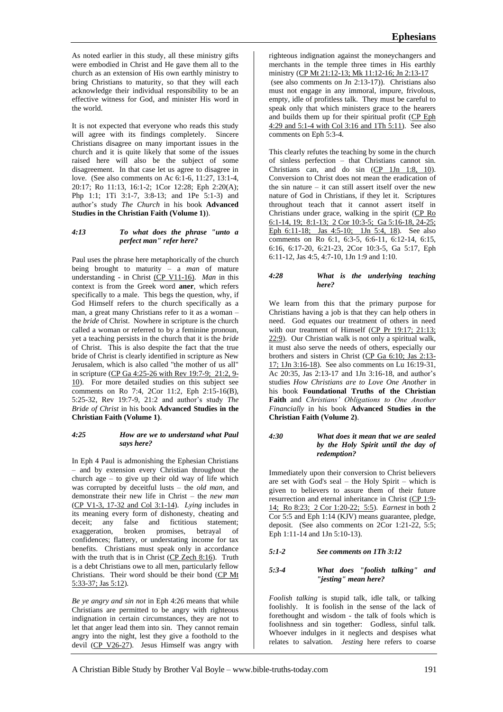As noted earlier in this study, all these ministry gifts were embodied in Christ and He gave them all to the church as an extension of His own earthly ministry to bring Christians to maturity, so that they will each acknowledge their individual responsibility to be an effective witness for God, and minister His word in the world.

It is not expected that everyone who reads this study will agree with its findings completely. Sincere Christians disagree on many important issues in the church and it is quite likely that some of the issues raised here will also be the subject of some disagreement. In that case let us agree to disagree in love. (See also comments on Ac 6:1-6, 11:27, 13:1-4, 20:17; Ro 11:13, 16:1-2; 1Cor 12:28; Eph 2:20(A); Php 1:1; 1Ti 3:1-7, 3:8-13; and 1Pe 5:1-3) and author's study *The Church* in his book **Advanced Studies in the Christian Faith (Volume 1)**).

### *4:13 To what does the phrase "unto a perfect man" refer here?*

Paul uses the phrase here metaphorically of the church being brought to maturity – a *man* of mature understanding - in Christ (CP V11-16). *Man* in this context is from the Greek word **aner**, which refers specifically to a male. This begs the question, why, if God Himself refers to the church specifically as a man, a great many Christians refer to it as a woman – the *bride* of Christ. Nowhere in scripture is the church called a woman or referred to by a feminine pronoun, yet a teaching persists in the church that it is the *bride* of Christ. This is also despite the fact that the true bride of Christ is clearly identified in scripture as New Jerusalem, which is also called "the mother of us all" in scripture (CP Ga 4:25-26 with Rev 19:7-9; 21:2, 9- 10). For more detailed studies on this subject see comments on Ro 7:4, 2Cor 11:2, Eph 2:15-16(B), 5:25-32, Rev 19:7-9, 21:2 and author's study *The Bride of Christ* in his book **Advanced Studies in the Christian Faith (Volume 1)**.

### *4:25 How are we to understand what Paul says here?*

In Eph 4 Paul is admonishing the Ephesian Christians – and by extension every Christian throughout the church age – to give up their old way of life which was corrupted by deceitful lusts – the *old man*, and demonstrate their new life in Christ – the *new man* (CP V1-3, 17-32 and Col 3:1-14). *Lying* includes in its meaning every form of dishonesty, cheating and deceit; any false and fictitious statement; exaggeration, broken promises, betrayal of confidences; flattery, or understating income for tax benefits. Christians must speak only in accordance with the truth that is in Christ  $(CP$  Zech  $8:16$ ). Truth is a debt Christians owe to all men, particularly fellow Christians. Their word should be their bond (CP Mt 5:33-37; Jas 5:12).

*Be ye angry and sin not* in Eph 4:26 means that while Christians are permitted to be angry with righteous indignation in certain circumstances, they are not to let that anger lead them into sin. They cannot remain angry into the night, lest they give a foothold to the devil (CP V26-27). Jesus Himself was angry with

righteous indignation against the moneychangers and merchants in the temple three times in His earthly ministry (CP Mt 21:12-13; Mk 11:12-16; Jn 2:13-17 (see also comments on Jn 2:13-17)). Christians also must not engage in any immoral, impure, frivolous, empty, idle of profitless talk. They must be careful to speak only that which ministers grace to the hearers and builds them up for their spiritual profit (CP Eph 4:29 and 5:1-4 with Col 3:16 and 1Th 5:11). See also comments on Eph 5:3-4.

This clearly refutes the teaching by some in the church of sinless perfection – that Christians cannot sin. Christians can, and do sin  $(CP \ 1Jn \ 1:8, 10)$ . Conversion to Christ does not mean the eradication of the sin nature – it can still assert itself over the new nature of God in Christians, if they let it. Scriptures throughout teach that it cannot assert itself in Christians under grace, walking in the spirit (CP Ro 6:1-14, 19; 8:1-13; 2 Cor 10:3-5; Ga 5:16-18, 24-25; Eph 6:11-18; Jas 4:5-10; 1Jn 5:4, 18). See also comments on Ro 6:1, 6:3-5, 6:6-11, 6:12-14, 6:15, 6:16, 6:17-20, 6:21-23, 2Cor 10:3-5, Ga 5:17, Eph 6:11-12, Jas 4:5, 4:7-10, 1Jn 1:9 and 1:10.

### *4:28 What is the underlying teaching here?*

We learn from this that the primary purpose for Christians having a job is that they can help others in need. God equates our treatment of others in need with our treatment of Himself (CP Pr 19:17; 21:13; 22:9). Our Christian walk is not only a spiritual walk, it must also serve the needs of others, especially our brothers and sisters in Christ (CP Ga 6:10; Jas 2:13- 17; 1Jn 3:16-18). See also comments on Lu 16:19-31, Ac 20:35, Jas 2:13-17 and 1Jn 3:16-18, and author's studies *How Christians are to Love One Another* in his book **Foundational Truths of the Christian Faith** and *Christians' Obligations to One Another Financially* in his book **Advanced Studies in the Christian Faith (Volume 2)**.

### *4:30 What does it mean that we are sealed by the Holy Spirit until the day of redemption?*

Immediately upon their conversion to Christ believers are set with God's seal – the Holy Spirit – which is given to believers to assure them of their future resurrection and eternal inheritance in Christ (CP 1:9- 14; Ro 8:23; 2 Cor 1:20-22; 5:5). *Earnest* in both 2 Cor 5:5 and Eph 1:14 (KJV) means guarantee, pledge, deposit. (See also comments on 2Cor 1:21-22, 5:5; Eph 1:11-14 and 1Jn 5:10-13).

# *5:1-2 See comments on 1Th 3:12*

### *5:3-4 What does "foolish talking" and "jesting" mean here?*

*Foolish talking* is stupid talk, idle talk, or talking foolishly. It is foolish in the sense of the lack of forethought and wisdom - the talk of fools which is foolishness and sin together: Godless, sinful talk. Whoever indulges in it neglects and despises what relates to salvation. *Jesting* here refers to coarse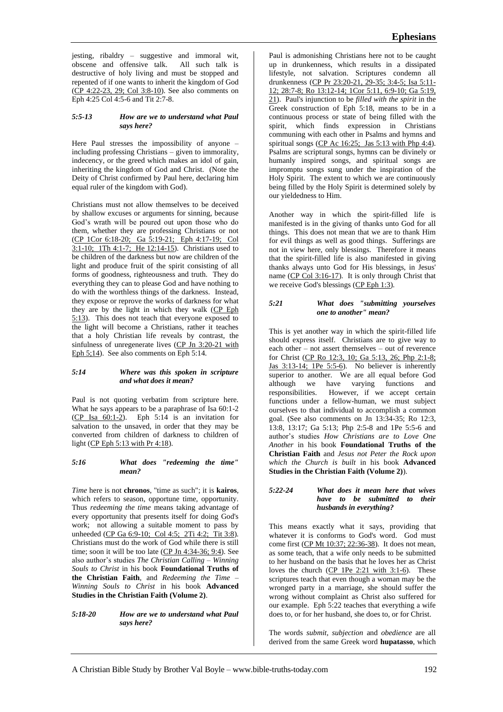jesting, ribaldry – suggestive and immoral wit, obscene and offensive talk. All such talk is destructive of holy living and must be stopped and repented of if one wants to inherit the kingdom of God (CP 4:22-23, 29; Col 3:8-10). See also comments on Eph 4:25 Col 4:5-6 and Tit 2:7-8.

#### *5:5-13 How are we to understand what Paul says here?*

Here Paul stresses the impossibility of anyone – including professing Christians – given to immorality, indecency, or the greed which makes an idol of gain, inheriting the kingdom of God and Christ. (Note the Deity of Christ confirmed by Paul here, declaring him equal ruler of the kingdom with God).

Christians must not allow themselves to be deceived by shallow excuses or arguments for sinning, because God's wrath will be poured out upon those who do them, whether they are professing Christians or not (CP 1Cor 6:18-20; Ga 5:19-21; Eph 4:17-19; Col 3:1-10; 1Th 4:1-7; He 12:14-15). Christians used to be children of the darkness but now are children of the light and produce fruit of the spirit consisting of all forms of goodness, righteousness and truth. They do everything they can to please God and have nothing to do with the worthless things of the darkness. Instead, they expose or reprove the works of darkness for what they are by the light in which they walk (CP Eph 5:13). This does not teach that everyone exposed to the light will become a Christians, rather it teaches that a holy Christian life reveals by contrast, the sinfulness of unregenerate lives (CP Jn 3:20-21 with Eph 5;14). See also comments on Eph 5:14.

### *5:14 Where was this spoken in scripture and what does it mean?*

Paul is not quoting verbatim from scripture here. What he says appears to be a paraphrase of Isa 60:1-2 (CP Isa 60:1-2). Eph 5:14 is an invitation for salvation to the unsaved, in order that they may be converted from children of darkness to children of light (CP Eph 5:13 with Pr 4:18).

#### *5:16 What does "redeeming the time" mean?*

*Time* here is not **chronos**, "time as such"; it is **kairos**, which refers to season, opportune time, opportunity. Thus *redeeming the time* means taking advantage of every opportunity that presents itself for doing God's work; not allowing a suitable moment to pass by unheeded (CP Ga 6:9-10; Col 4:5; 2Ti 4:2; Tit 3:8). Christians must do the work of God while there is still time; soon it will be too late (CP Jn 4:34-36; 9:4). See also author's studies *The Christian Calling – Winning Souls to Christ* in his book **Foundational Truths of the Christian Faith**, and *Redeeming the Time – Winning Souls to Christ* in his book **Advanced Studies in the Christian Faith (Volume 2)**.

*5:18-20 How are we to understand what Paul says here?*

Paul is admonishing Christians here not to be caught up in drunkenness, which results in a dissipated lifestyle, not salvation. Scriptures condemn all drunkenness (CP Pr 23:20-21, 29-35; 3:4-5; Isa 5:11- 12; 28:7-8; Ro 13:12-14; 1Cor 5:11, 6:9-10; Ga 5:19, 21). Paul's injunction to be *filled with the spirit* in the Greek construction of Eph 5:18, means to be in a continuous process or state of being filled with the spirit, which finds expression in Christians communing with each other in Psalms and hymns and spiritual songs (CP Ac 16:25; Jas 5:13 with Php 4:4). Psalms are scriptural songs, hymns can be divinely or humanly inspired songs, and spiritual songs are impromptu songs sung under the inspiration of the Holy Spirit. The extent to which we are continuously being filled by the Holy Spirit is determined solely by our yieldedness to Him.

Another way in which the spirit-filled life is manifested is in the giving of thanks unto God for all things. This does not mean that we are to thank Him for evil things as well as good things. Sufferings are not in view here, only blessings. Therefore it means that the spirit-filled life is also manifested in giving thanks always unto God for His blessings, in Jesus' name (CP Col 3:16-17). It is only through Christ that we receive God's blessings (CP Eph 1:3).

## *5:21 What does "submitting yourselves one to another" mean?*

This is yet another way in which the spirit-filled life should express itself. Christians are to give way to each other – not assert themselves – out of reverence for Christ (CP Ro 12:3, 10; Ga 5:13, 26; Php 2:1-8; Jas 3:13-14; 1Pe 5:5-6). No believer is inherently superior to another. We are all equal before God although we have varying functions and<br>responsibilities. However, if we accept certain However, if we accept certain functions under a fellow-human, we must subject ourselves to that individual to accomplish a common goal. (See also comments on Jn 13:34-35; Ro 12:3, 13:8, 13:17; Ga 5:13; Php 2:5-8 and 1Pe 5:5-6 and author's studies *How Christians are to Love One Another* in his book **Foundational Truths of the Christian Faith** and *Jesus not Peter the Rock upon which the Church is built* in his book **Advanced Studies in the Christian Faith (Volume 2)**).

### *5:22-24 What does it mean here that wives have to be submitted to their husbands in everything?*

This means exactly what it says, providing that whatever it is conforms to God's word. God must come first (CP Mt 10:37; 22:36-38). It does not mean, as some teach, that a wife only needs to be submitted to her husband on the basis that he loves her as Christ loves the church (CP 1Pe 2:21 with 3:1-6). These scriptures teach that even though a woman may be the wronged party in a marriage, she should suffer the wrong without complaint as Christ also suffered for our example. Eph 5:22 teaches that everything a wife does to, or for her husband, she does to, or for Christ.

The words *submit, subjection* and *obedience* are all derived from the same Greek word **hupatasso**, which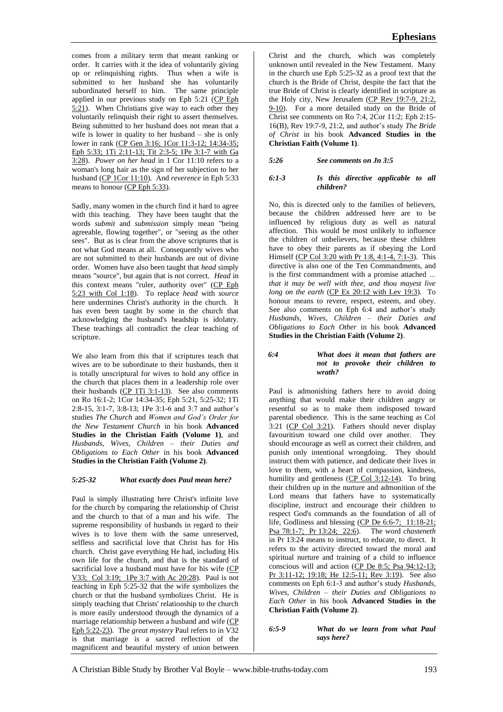Being submitted to her husband does not mean that a wife is lower in quality to her husband – she is only lower in rank (CP Gen 3:16; 1Cor 11:3-12; 14:34-35; Eph 5:33; 1Ti 2:11-13; Tit 2:3-5; 1Pe 3:1-7 with Ga 3:28). *Power on her head* in 1 Cor 11:10 refers to a woman's long hair as the sign of her subjection to her husband (CP 1Cor 11:10). And *reverence* in Eph 5:33 means to honour (CP Eph 5:33).

Sadly, many women in the church find it hard to agree with this teaching. They have been taught that the words *submit* and *submission* simply mean "being agreeable, flowing together", or "seeing as the other sees". But as is clear from the above scriptures that is not what God means at all. Consequently wives who are not submitted to their husbands are out of divine order. Women have also been taught that *head* simply means "source", but again that is not correct. *Head* in this context means "ruler, authority over" (CP Eph 5:23 with Col 1:18). To replace *head* with *source* here undermines Christ's authority in the church. It has even been taught by some in the church that acknowledging the husband's headship is idolatry. These teachings all contradict the clear teaching of scripture.

We also learn from this that if scriptures teach that wives are to be subordinate to their husbands, then it is totally unscriptural for wives to hold any office in the church that places them in a leadership role over their husbands  $\overline{(CP 1Ti 3:1-13)}$ . See also comments on Ro 16:1-2; 1Cor 14:34-35; Eph 5:21, 5:25-32; 1Ti 2:8-15, 3:1-7, 3:8-13; 1Pe 3:1-6 and 3:7 and author's studies *The Church* and *Women and God's Order for the New Testament Church* in his book **Advanced Studies in the Christian Faith (Volume 1)**, and *Husbands, Wives, Children – their Duties and Obligations to Each Other* in his book **Advanced Studies in the Christian Faith (Volume 2)**.

# *5:25-32 What exactly does Paul mean here?*

Paul is simply illustrating here Christ's infinite love for the church by comparing the relationship of Christ and the church to that of a man and his wife. The supreme responsibility of husbands in regard to their wives is to love them with the same unreserved, selfless and sacrificial love that Christ has for His church. Christ gave everything He had, including His own life for the church, and that is the standard of sacrificial love a husband must have for his wife (CP V33; Col 3:19; 1Pe 3:7 with Ac 20:28). Paul is not teaching in Eph 5:25-32 that the wife symbolizes the church or that the husband symbolizes Christ. He is simply teaching that Christs' relationship to the church is more easily understood through the dynamics of a marriage relationship between a husband and wife (CP Eph 5:22-23). The *great mystery* Paul refers to in V32 is that marriage is a sacred reflection of the magnificent and beautiful mystery of union between

Christ and the church, which was completely unknown until revealed in the New Testament. Many in the church use Eph 5:25-32 as a proof text that the church is the Bride of Christ, despite the fact that the true Bride of Christ is clearly identified in scripture as the Holy city, New Jerusalem (CP Rev 19:7-9, 21:2, 9-10). For a more detailed study on the Bride of Christ see comments on Ro 7:4, 2Cor 11:2; Eph 2:15- 16(B), Rev 19:7-9, 21:2, and author's study *The Bride of Christ* in his book **Advanced Studies in the Christian Faith (Volume 1)**.

*5:26 See comments on Jn 3:5*

#### *6:1-3 Is this directive applicable to all children?*

No, this is directed only to the families of believers, because the children addressed here are to be influenced by religious duty as well as natural affection. This would be most unlikely to influence the children of unbelievers, because these children have to obey their parents as if obeying the Lord Himself (CP Col 3:20 with Pr 1:8, 4:1-4, 7:1-3). This directive is also one of the Ten Commandments, and is the first commandment with a promise attached *… that it may be well with thee, and thou mayest live long on the earth* (CP Ex 20:12 with Lev 19:3). To honour means to revere, respect, esteem, and obey. See also comments on Eph 6:4 and author's study *Husbands, Wives, Children – their Duties and Obligations to Each Other* in his book **Advanced Studies in the Christian Faith (Volume 2)**.

#### *6:4 What does it mean that fathers are not to provoke their children to wrath?*

Paul is admonishing fathers here to avoid doing anything that would make their children angry or resentful so as to make them indisposed toward parental obedience. This is the same teaching as Col 3:21 (CP Col 3:21). Fathers should never display favouritism toward one child over another. They should encourage as well as correct their children, and punish only intentional wrongdoing. They should instruct them with patience, and dedicate their lives in love to them, with a heart of compassion, kindness, humility and gentleness (CP Col 3:12-14). To bring their children up in the nurture and admonition of the Lord means that fathers have to systematically discipline, instruct and encourage their children to respect God's commands as the foundation of all of life, Godliness and blessing (CP De 6:6-7; 11:18-21; Psa 78:1-7; Pr 13:24; 22:6). The word *chasteneth* in Pr 13:24 means to instruct, to educate, to direct. It refers to the activity directed toward the moral and spiritual nurture and training of a child to influence conscious will and action (CP De 8:5; Psa 94:12-13; Pr 3:11-12; 19:18; He 12:5-11; Rev 3:19). See also comments on Eph 6:1-3 and author's study *Husbands, Wives, Children – their Duties and Obligations to Each Other* in his book **Advanced Studies in the Christian Faith (Volume 2)**.

*6:5-9 What do we learn from what Paul says here?*